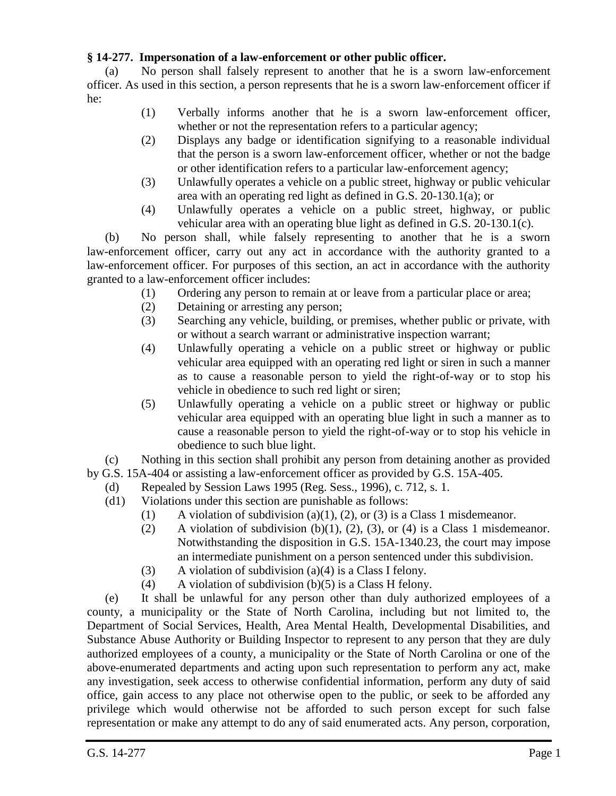## **§ 14-277. Impersonation of a law-enforcement or other public officer.**

(a) No person shall falsely represent to another that he is a sworn law-enforcement officer. As used in this section, a person represents that he is a sworn law-enforcement officer if he:

- (1) Verbally informs another that he is a sworn law-enforcement officer, whether or not the representation refers to a particular agency;
- (2) Displays any badge or identification signifying to a reasonable individual that the person is a sworn law-enforcement officer, whether or not the badge or other identification refers to a particular law-enforcement agency;
- (3) Unlawfully operates a vehicle on a public street, highway or public vehicular area with an operating red light as defined in G.S. 20-130.1(a); or
- (4) Unlawfully operates a vehicle on a public street, highway, or public vehicular area with an operating blue light as defined in G.S. 20-130.1(c).

(b) No person shall, while falsely representing to another that he is a sworn law-enforcement officer, carry out any act in accordance with the authority granted to a law-enforcement officer. For purposes of this section, an act in accordance with the authority granted to a law-enforcement officer includes:

- (1) Ordering any person to remain at or leave from a particular place or area;
- (2) Detaining or arresting any person;
- (3) Searching any vehicle, building, or premises, whether public or private, with or without a search warrant or administrative inspection warrant;
- (4) Unlawfully operating a vehicle on a public street or highway or public vehicular area equipped with an operating red light or siren in such a manner as to cause a reasonable person to yield the right-of-way or to stop his vehicle in obedience to such red light or siren;
- (5) Unlawfully operating a vehicle on a public street or highway or public vehicular area equipped with an operating blue light in such a manner as to cause a reasonable person to yield the right-of-way or to stop his vehicle in obedience to such blue light.

(c) Nothing in this section shall prohibit any person from detaining another as provided by G.S. 15A-404 or assisting a law-enforcement officer as provided by G.S. 15A-405.

- (d) Repealed by Session Laws 1995 (Reg. Sess., 1996), c. 712, s. 1.
	- (d1) Violations under this section are punishable as follows:
		- (1) A violation of subdivision (a)(1), (2), or (3) is a Class 1 misdemeanor.
		- (2) A violation of subdivision (b)(1), (2), (3), or (4) is a Class 1 misdemeanor. Notwithstanding the disposition in G.S. 15A-1340.23, the court may impose an intermediate punishment on a person sentenced under this subdivision.
		- (3) A violation of subdivision (a)(4) is a Class I felony.
		- (4) A violation of subdivision  $(b)(5)$  is a Class H felony.

(e) It shall be unlawful for any person other than duly authorized employees of a county, a municipality or the State of North Carolina, including but not limited to, the Department of Social Services, Health, Area Mental Health, Developmental Disabilities, and Substance Abuse Authority or Building Inspector to represent to any person that they are duly authorized employees of a county, a municipality or the State of North Carolina or one of the above-enumerated departments and acting upon such representation to perform any act, make any investigation, seek access to otherwise confidential information, perform any duty of said office, gain access to any place not otherwise open to the public, or seek to be afforded any privilege which would otherwise not be afforded to such person except for such false representation or make any attempt to do any of said enumerated acts. Any person, corporation,